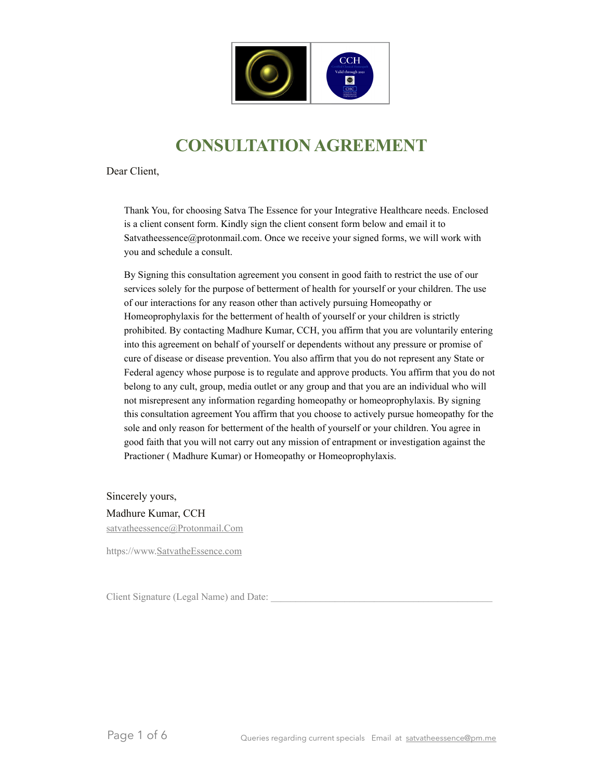

# **CONSULTATION AGREEMENT**

Dear Client,

Thank You, for choosing Satva The Essence for your Integrative Healthcare needs. Enclosed is a client consent form. Kindly sign the client consent form below and email it to [Satvatheessence@protonmail.com.](mailto:Satvatheessence@protonmail.com) Once we receive your signed forms, we will work with you and schedule a consult.

By Signing this consultation agreement you consent in good faith to restrict the use of our services solely for the purpose of betterment of health for yourself or your children. The use of our interactions for any reason other than actively pursuing Homeopathy or Homeoprophylaxis for the betterment of health of yourself or your children is strictly prohibited. By contacting Madhure Kumar, CCH, you affirm that you are voluntarily entering into this agreement on behalf of yourself or dependents without any pressure or promise of cure of disease or disease prevention. You also affirm that you do not represent any State or Federal agency whose purpose is to regulate and approve products. You affirm that you do not belong to any cult, group, media outlet or any group and that you are an individual who will not misrepresent any information regarding homeopathy or homeoprophylaxis. By signing this consultation agreement You affirm that you choose to actively pursue homeopathy for the sole and only reason for betterment of the health of yourself or your children. You agree in good faith that you will not carry out any mission of entrapment or investigation against the Practioner ( Madhure Kumar) or Homeopathy or Homeoprophylaxis.

Sincerely yours, Madhure Kumar, CCH [satvatheessence@Protonmail.Com](mailto:satvatheessence@Protonmail.Com)

https://www[.SatvatheEssence.com](http://SatvatheEssence.com)

Client Signature (Legal Name) and Date: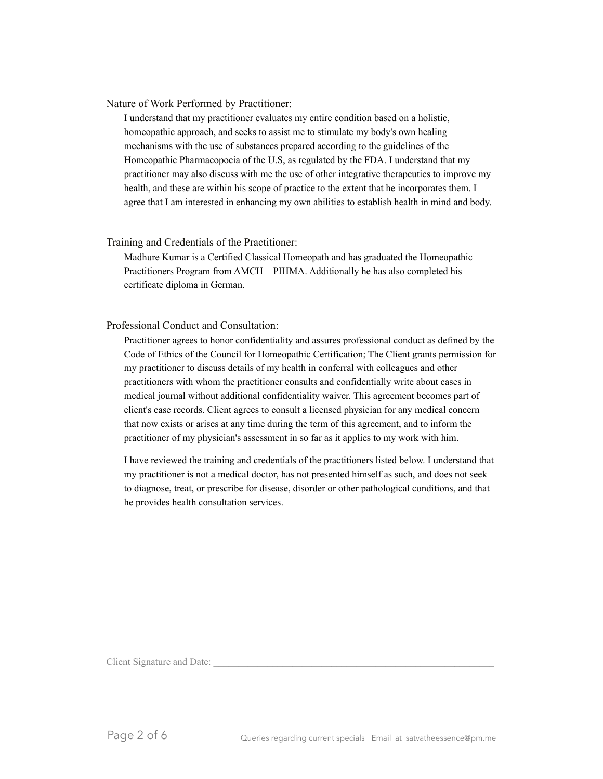Nature of Work Performed by Practitioner:

I understand that my practitioner evaluates my entire condition based on a holistic, homeopathic approach, and seeks to assist me to stimulate my body's own healing mechanisms with the use of substances prepared according to the guidelines of the Homeopathic Pharmacopoeia of the U.S, as regulated by the FDA. I understand that my practitioner may also discuss with me the use of other integrative therapeutics to improve my health, and these are within his scope of practice to the extent that he incorporates them. I agree that I am interested in enhancing my own abilities to establish health in mind and body.

#### Training and Credentials of the Practitioner:

Madhure Kumar is a Certified Classical Homeopath and has graduated the Homeopathic Practitioners Program from AMCH – PIHMA. Additionally he has also completed his certificate diploma in German.

#### Professional Conduct and Consultation:

Practitioner agrees to honor confidentiality and assures professional conduct as defined by the Code of Ethics of the Council for Homeopathic Certification; The Client grants permission for my practitioner to discuss details of my health in conferral with colleagues and other practitioners with whom the practitioner consults and confidentially write about cases in medical journal without additional confidentiality waiver. This agreement becomes part of client's case records. Client agrees to consult a licensed physician for any medical concern that now exists or arises at any time during the term of this agreement, and to inform the practitioner of my physician's assessment in so far as it applies to my work with him.

I have reviewed the training and credentials of the practitioners listed below. I understand that my practitioner is not a medical doctor, has not presented himself as such, and does not seek to diagnose, treat, or prescribe for disease, disorder or other pathological conditions, and that he provides health consultation services.

Client Signature and Date: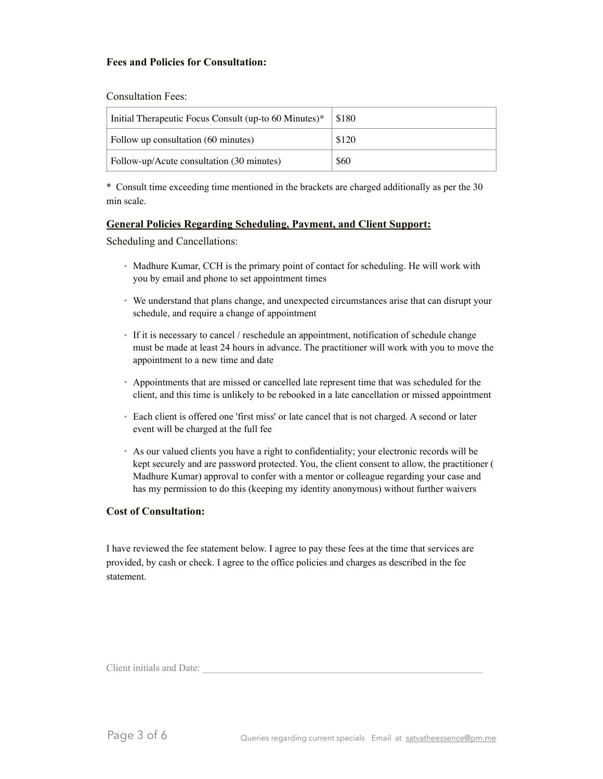# **Fees and Policies for Consultation:**

Consultation Fees:

| Initial Therapeutic Focus Consult (up-to 60 Minutes)* | \$180 |
|-------------------------------------------------------|-------|
| Follow up consultation (60 minutes)                   | \$120 |
| Follow-up/Acute consultation (30 minutes)             | \$60  |

\* Consult time exceeding time mentioned in the brackets are charged additionally as per the 30 min scale.

# **General Policies Regarding Scheduling, Payment, and Client Support:**

Scheduling and Cancellations:

- Madhure Kumar, CCH is the primary point of contact for scheduling. He will work with you by email and phone to set appointment times
- We understand that plans change, and unexpected circumstances arise that can disrupt your schedule, and require a change of appointment
- If it is necessary to cancel / reschedule an appointment, notification of schedule change must be made at least 24 hours in advance. The practitioner will work with you to move the appointment to a new time and date
- Appointments that are missed or cancelled late represent time that was scheduled for the client, and this time is unlikely to be rebooked in a late cancellation or missed appointment
- Each client is offered one 'first miss' or late cancel that is not charged. A second or later event will be charged at the full fee
- As our valued clients you have a right to confidentiality; your electronic records will be kept securely and are password protected. You, the client consent to allow, the practitioner ( Madhure Kumar) approval to confer with a mentor or colleague regarding your case and has my permission to do this (keeping my identity anonymous) without further waivers

# **Cost of Consultation:**

I have reviewed the fee statement below. I agree to pay these fees at the time that services are provided, by cash or check. I agree to the office policies and charges as described in the fee statement.

Client initials and Date: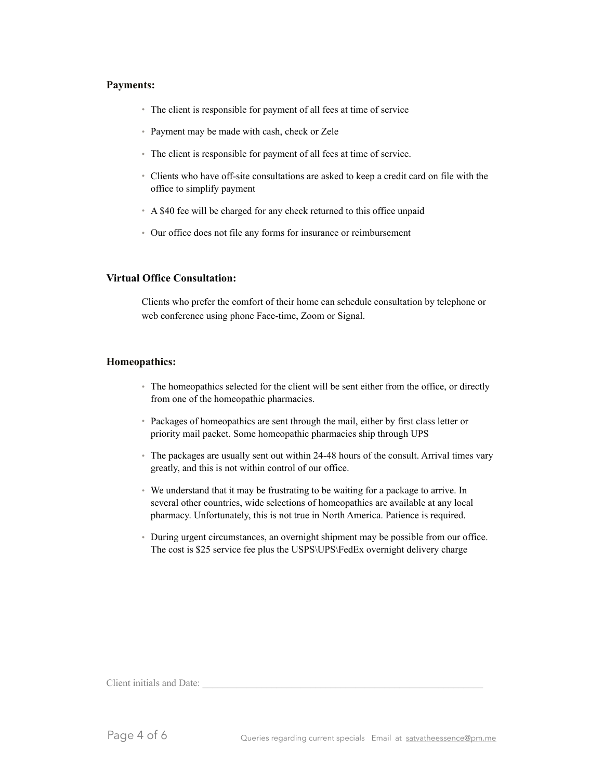#### **Payments:**

- The client is responsible for payment of all fees at time of service
- Payment may be made with cash, check or Zele
- The client is responsible for payment of all fees at time of service.
- Clients who have off-site consultations are asked to keep a credit card on file with the office to simplify payment
- A \$40 fee will be charged for any check returned to this office unpaid
- Our office does not file any forms for insurance or reimbursement

#### **Virtual Office Consultation:**

Clients who prefer the comfort of their home can schedule consultation by telephone or web conference using phone Face-time, Zoom or Signal.

#### **Homeopathics:**

- The homeopathics selected for the client will be sent either from the office, or directly from one of the homeopathic pharmacies.
- Packages of homeopathics are sent through the mail, either by first class letter or priority mail packet. Some homeopathic pharmacies ship through UPS
- The packages are usually sent out within 24-48 hours of the consult. Arrival times vary greatly, and this is not within control of our office.
- We understand that it may be frustrating to be waiting for a package to arrive. In several other countries, wide selections of homeopathics are available at any local pharmacy. Unfortunately, this is not true in North America. Patience is required.
- During urgent circumstances, an overnight shipment may be possible from our office. The cost is \$25 service fee plus the USPS\UPS\FedEx overnight delivery charge

Client initials and Date: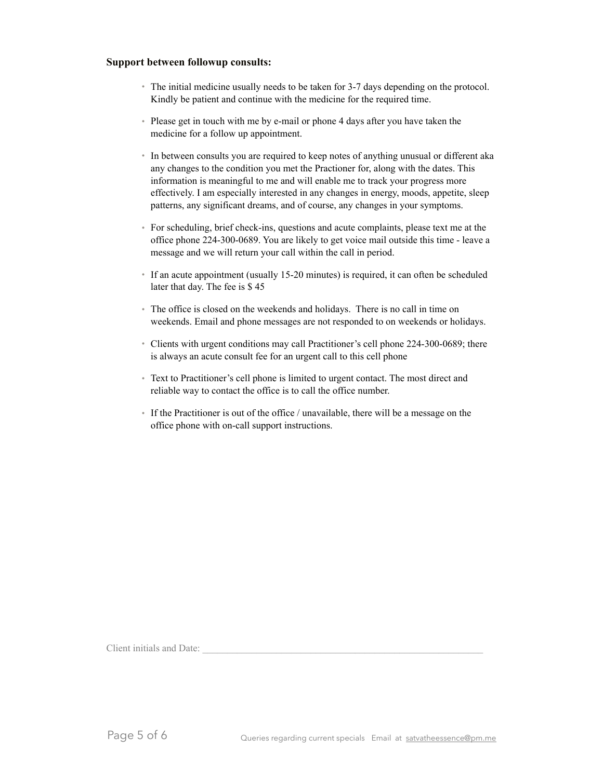### **Support between followup consults:**

- The initial medicine usually needs to be taken for 3-7 days depending on the protocol. Kindly be patient and continue with the medicine for the required time.
- Please get in touch with me by e-mail or phone 4 days after you have taken the medicine for a follow up appointment.
- In between consults you are required to keep notes of anything unusual or different aka any changes to the condition you met the Practioner for, along with the dates. This information is meaningful to me and will enable me to track your progress more effectively. I am especially interested in any changes in energy, moods, appetite, sleep patterns, any significant dreams, and of course, any changes in your symptoms.
- For scheduling, brief check-ins, questions and acute complaints, please text me at the office phone 224-300-0689. You are likely to get voice mail outside this time - leave a message and we will return your call within the call in period.
- If an acute appointment (usually 15-20 minutes) is required, it can often be scheduled later that day. The fee is \$ 45
- The office is closed on the weekends and holidays. There is no call in time on weekends. Email and phone messages are not responded to on weekends or holidays.
- Clients with urgent conditions may call Practitioner's cell phone 224-300-0689; there is always an acute consult fee for an urgent call to this cell phone
- Text to Practitioner's cell phone is limited to urgent contact. The most direct and reliable way to contact the office is to call the office number.
- If the Practitioner is out of the office / unavailable, there will be a message on the office phone with on-call support instructions.

Client initials and Date: